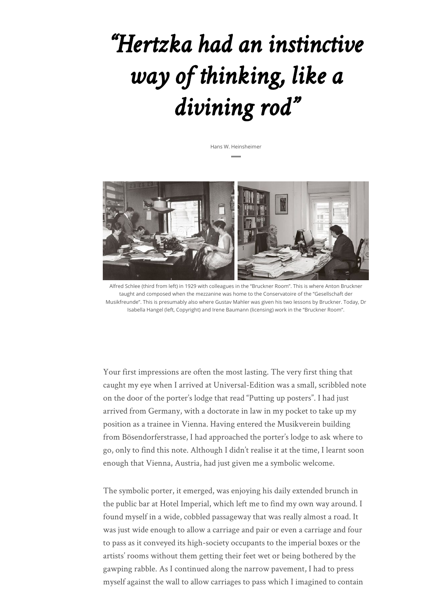# *"Hertzka had an instinctive way of thinking, like a divining rod"*

Hans W. Heinsheimer



Alfred Schlee (third from left) in 1929 with colleagues in the "Bruckner Room". This is where Anton Bruckner taught and composed when the mezzanine was home to the Conservatoire of the "Gesellschaft der Musikfreunde". This is presumably also where Gustav Mahler was given his two lessons by Bruckner. Today, Dr Isabella Hangel (left, Copyright) and Irene Baumann (licensing) work in the "Bruckner Room".

Your first impressions are often the most lasting. The very first thing that caught my eye when I arrived at Universal-Edition was a small, scribbled note on the door of the porter's lodge that read "Putting up posters". I had just arrived from Germany, with a doctorate in law in my pocket to take up my position as a trainee in Vienna. Having entered the Musikverein building from Bösendorferstrasse, I had approached the porter's lodge to ask where to go, only to find this note. Although I didn't realise it at the time, I learnt soon enough that Vienna, Austria, had just given me a symbolic welcome.

The symbolic porter, it emerged, was enjoying his daily extended brunch in the public bar at Hotel Imperial, which left me to find my own way around. I found myself in a wide, cobbled passageway that was really almost a road. It was just wide enough to allow a carriage and pair or even a carriage and four to pass as it conveyed its high-society occupants to the imperial boxes or the artists' rooms without them getting their feet wet or being bothered by the gawping rabble. As I continued along the narrow pavement, I had to press myself against the wall to allow carriages to pass which I imagined to contain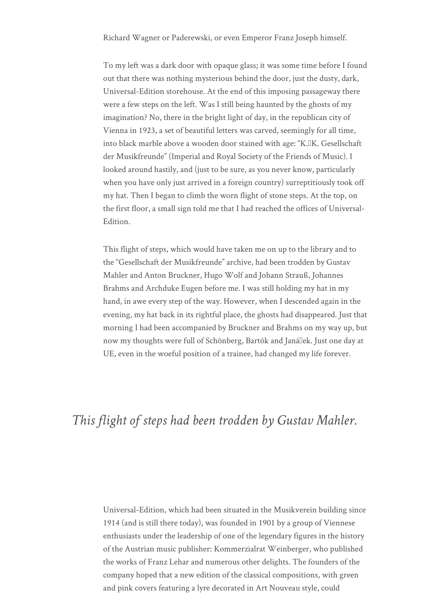Richard Wagner or Paderewski, or even Emperor Franz Joseph himself.

To my left was a dark door with opaque glass; it was some time before I found out that there was nothing mysterious behind the door, just the dusty, dark, Universal-Edition storehouse. At the end of this imposing passageway there were a few steps on the left. Was I still being haunted by the ghosts of my imagination? No, there in the bright light of day, in the republican city of Vienna in 1923, a set of beautiful letters was carved, seemingly for all time, into black marble above a wooden door stained with age: "K.IK. Gesellschaft der Musikfreunde" (Imperial and Royal Society of the Friends of Music). I looked around hastily, and (just to be sure, as you never know, particularly when you have only just arrived in a foreign country) surreptitiously took off my hat. Then I began to climb the worn flight of stone steps. At the top, on the first floor, a small sign told me that I had reached the offices of Universal-Edition.

This flight of steps, which would have taken me on up to the library and to the "Gesellschaft der Musikfreunde" archive, had been trodden by Gustav Mahler and Anton Bruckner, Hugo Wolf and Johann Strauß, Johannes Brahms and Archduke Eugen before me. I was still holding my hat in my hand, in awe every step of the way. However, when I descended again in the evening, my hat back in its rightful place, the ghosts had disappeared. Just that morning I had been accompanied by Bruckner and Brahms on my way up, but now my thoughts were full of Schönberg, Bartók and Janállek. Just one day at UE, even in the woeful position of a trainee, had changed my life forever.

### *This flight of steps had been trodden by Gustav Mahler.*

Universal-Edition, which had been situated in the Musikverein building since 1914 (and is still there today), was founded in 1901 by a group of Viennese enthusiasts under the leadership of one of the legendary figures in the history of the Austrian music publisher: Kommerzialrat Weinberger, who published the works of Franz Lehar and numerous other delights. The founders of the company hoped that a new edition of the classical compositions, with green and pink covers featuring a lyre decorated in Art Nouveau style, could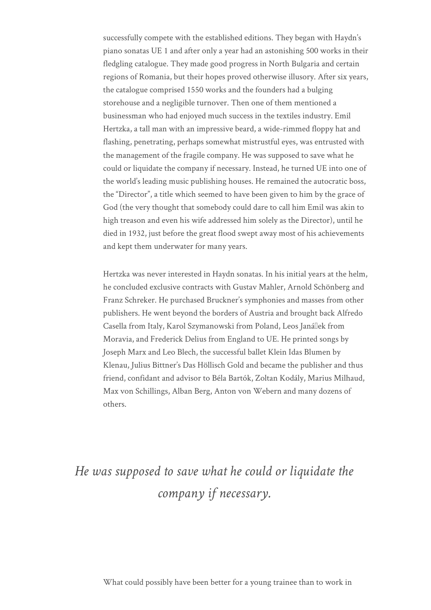successfully compete with the established editions. They began with Haydn's piano sonatas UE 1 and after only a year had an astonishing 500 works in their fledgling catalogue. They made good progress in North Bulgaria and certain regions of Romania, but their hopes proved otherwise illusory. After six years, the catalogue comprised 1550 works and the founders had a bulging storehouse and a negligible turnover. Then one of them mentioned a businessman who had enjoyed much success in the textiles industry. Emil Hertzka, a tall man with an impressive beard, a wide-rimmed floppy hat and flashing, penetrating, perhaps somewhat mistrustful eyes, was entrusted with the management of the fragile company. He was supposed to save what he could or liquidate the company if necessary. Instead, he turned UE into one of the world's leading music publishing houses. He remained the autocratic boss, the "Director", a title which seemed to have been given to him by the grace of God (the very thought that somebody could dare to call him Emil was akin to high treason and even his wife addressed him solely as the Director), until he died in 1932, just before the great flood swept away most of his achievements and kept them underwater for many years.

Hertzka was never interested in Haydn sonatas. In his initial years at the helm, he concluded exclusive contracts with Gustav Mahler, Arnold Schönberg and Franz Schreker. He purchased Bruckner's symphonies and masses from other publishers. He went beyond the borders of Austria and brought back Alfredo Casella from Italy, Karol Szymanowski from Poland, Leos Janállek from Moravia, and Frederick Delius from England to UE. He printed songs by Joseph Marx and Leo Blech, the successful ballet Klein Idas Blumen by Klenau, Julius Bittner's Das Höllisch Gold and became the publisher and thus friend, confidant and advisor to Béla Bartók, Zoltan Kodály, Marius Milhaud, Max von Schillings, Alban Berg, Anton von Webern and many dozens of others.

## *He was supposed to save what he could or liquidate the company if necessary.*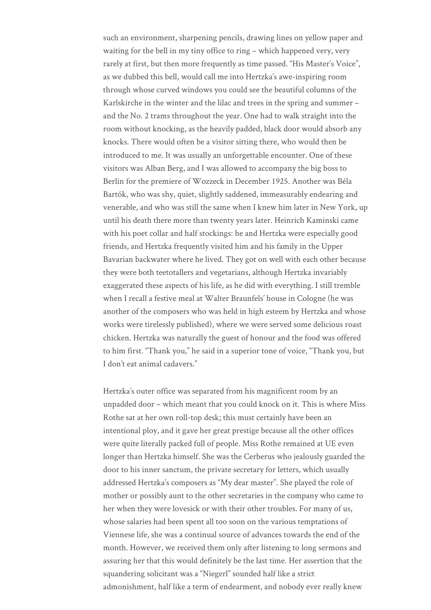such an environment, sharpening pencils, drawing lines on yellow paper and waiting for the bell in my tiny office to ring – which happened very, very rarely at first, but then more frequently as time passed. "His Master's Voice", as we dubbed this bell, would call me into Hertzka's awe-inspiring room through whose curved windows you could see the beautiful columns of the Karlskirche in the winter and the lilac and trees in the spring and summer – and the No. 2 trams throughout the year. One had to walk straight into the room without knocking, as the heavily padded, black door would absorb any knocks. There would often be a visitor sitting there, who would then be introduced to me. It was usually an unforgettable encounter. One of these visitors was Alban Berg, and I was allowed to accompany the big boss to Berlin for the premiere of Wozzeck in December 1925. Another was Béla Bartók, who was shy, quiet, slightly saddened, immeasurably endearing and venerable, and who was still the same when I knew him later in New York, up until his death there more than twenty years later. Heinrich Kaminski came with his poet collar and half stockings: he and Hertzka were especially good friends, and Hertzka frequently visited him and his family in the Upper Bavarian backwater where he lived. They got on well with each other because they were both teetotallers and vegetarians, although Hertzka invariably exaggerated these aspects of his life, as he did with everything. I still tremble when I recall a festive meal at Walter Braunfels' house in Cologne (he was another of the composers who was held in high esteem by Hertzka and whose works were tirelessly published), where we were served some delicious roast chicken. Hertzka was naturally the guest of honour and the food was offered to him first. "Thank you," he said in a superior tone of voice, "Thank you, but I don't eat animal cadavers."

Hertzka's outer office was separated from his magnificent room by an unpadded door – which meant that you could knock on it. This is where Miss Rothe sat at her own roll-top desk; this must certainly have been an intentional ploy, and it gave her great prestige because all the other offices were quite literally packed full of people. Miss Rothe remained at UE even longer than Hertzka himself. She was the Cerberus who jealously guarded the door to his inner sanctum, the private secretary for letters, which usually addressed Hertzka's composers as "My dear master". She played the role of mother or possibly aunt to the other secretaries in the company who came to her when they were lovesick or with their other troubles. For many of us, whose salaries had been spent all too soon on the various temptations of Viennese life, she was a continual source of advances towards the end of the month. However, we received them only after listening to long sermons and assuring her that this would definitely be the last time. Her assertion that the squandering solicitant was a "Niegerl" sounded half like a strict admonishment, half like a term of endearment, and nobody ever really knew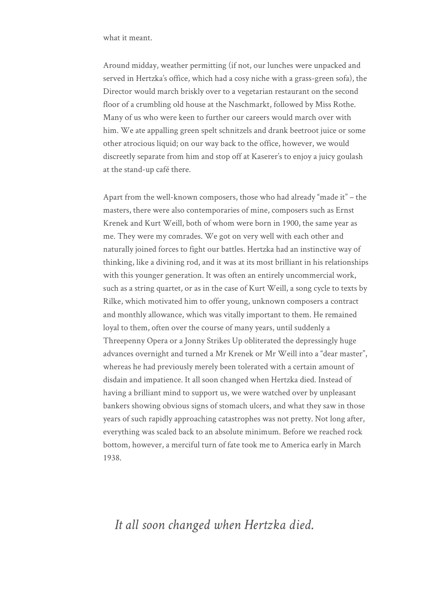what it meant.

Around midday, weather permitting (if not, our lunches were unpacked and served in Hertzka's office, which had a cosy niche with a grass-green sofa), the Director would march briskly over to a vegetarian restaurant on the second floor of a crumbling old house at the Naschmarkt, followed by Miss Rothe. Many of us who were keen to further our careers would march over with him. We ate appalling green spelt schnitzels and drank beetroot juice or some other atrocious liquid; on our way back to the office, however, we would discreetly separate from him and stop off at Kaserer's to enjoy a juicy goulash at the stand-up café there.

Apart from the well-known composers, those who had already "made it" – the masters, there were also contemporaries of mine, composers such as Ernst Krenek and Kurt Weill, both of whom were born in 1900, the same year as me. They were my comrades. We got on very well with each other and naturally joined forces to fight our battles. Hertzka had an instinctive way of thinking, like a divining rod, and it was at its most brilliant in his relationships with this younger generation. It was often an entirely uncommercial work, such as a string quartet, or as in the case of Kurt Weill, a song cycle to texts by Rilke, which motivated him to offer young, unknown composers a contract and monthly allowance, which was vitally important to them. He remained loyal to them, often over the course of many years, until suddenly a Threepenny Opera or a Jonny Strikes Up obliterated the depressingly huge advances overnight and turned a Mr Krenek or Mr Weill into a "dear master", whereas he had previously merely been tolerated with a certain amount of disdain and impatience. It all soon changed when Hertzka died. Instead of having a brilliant mind to support us, we were watched over by unpleasant bankers showing obvious signs of stomach ulcers, and what they saw in those years of such rapidly approaching catastrophes was not pretty. Not long after, everything was scaled back to an absolute minimum. Before we reached rock bottom, however, a merciful turn of fate took me to America early in March 1938.

#### *It all soon changed when Hertzka died.*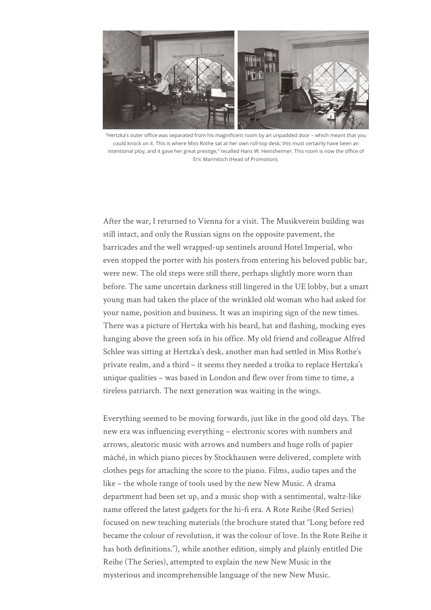

"Hertzka's outer office was separated from his magnificent room by an unpadded door – which meant that you could knock on it. This is where Miss Rothe sat at her own roll-top desk; this must certainly have been an intentional ploy, and it gave her great prestige," recalled Hans W. Heinsheimer. This room is now the office of Eric Marinitsch (Head of Promotion).

After the war, I returned to Vienna for a visit. The Musikverein building was still intact, and only the Russian signs on the opposite pavement, the barricades and the well wrapped-up sentinels around Hotel Imperial, who even stopped the porter with his posters from entering his beloved public bar, were new. The old steps were still there, perhaps slightly more worn than before. The same uncertain darkness still lingered in the UE lobby, but a smart young man had taken the place of the wrinkled old woman who had asked for your name, position and business. It was an inspiring sign of the new times. There was a picture of Hertzka with his beard, hat and flashing, mocking eyes hanging above the green sofa in his office. My old friend and colleague Alfred Schlee was sitting at Hertzka's desk, another man had settled in Miss Rothe's private realm, and a third – it seems they needed a troika to replace Hertzka's unique qualities – was based in London and flew over from time to time, a tireless patriarch. The next generation was waiting in the wings.

Everything seemed to be moving forwards, just like in the good old days. The new era was influencing everything – electronic scores with numbers and arrows, aleatoric music with arrows and numbers and huge rolls of papier mâché, in which piano pieces by Stockhausen were delivered, complete with clothes pegs for attaching the score to the piano. Films, audio tapes and the like – the whole range of tools used by the new New Music. A drama department had been set up, and a music shop with a sentimental, waltz-like name offered the latest gadgets for the hi-fi era. A Rote Reihe (Red Series) focused on new teaching materials (the brochure stated that "Long before red became the colour of revolution, it was the colour of love. In the Rote Reihe it has both definitions."), while another edition, simply and plainly entitled Die Reihe (The Series), attempted to explain the new New Music in the mysterious and incomprehensible language of the new New Music.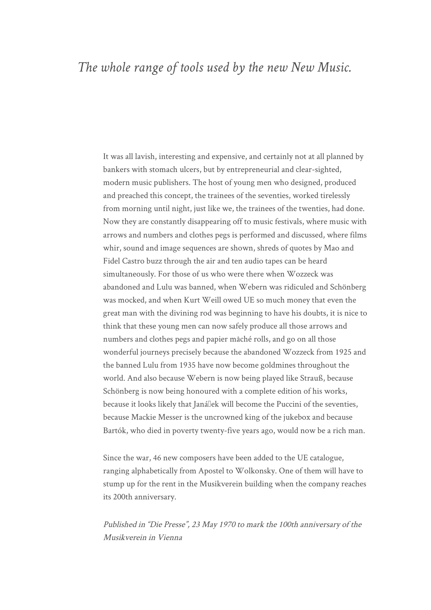#### *The whole range of tools used by the new New Music.*

It was all lavish, interesting and expensive, and certainly not at all planned by bankers with stomach ulcers, but by entrepreneurial and clear-sighted, modern music publishers. The host of young men who designed, produced and preached this concept, the trainees of the seventies, worked tirelessly from morning until night, just like we, the trainees of the twenties, had done. Now they are constantly disappearing off to music festivals, where music with arrows and numbers and clothes pegs is performed and discussed, where films whir, sound and image sequences are shown, shreds of quotes by Mao and Fidel Castro buzz through the air and ten audio tapes can be heard simultaneously. For those of us who were there when Wozzeck was abandoned and Lulu was banned, when Webern was ridiculed and Schönberg was mocked, and when Kurt Weill owed UE so much money that even the great man with the divining rod was beginning to have his doubts, it is nice to think that these young men can now safely produce all those arrows and numbers and clothes pegs and papier mâché rolls, and go on all those wonderful journeys precisely because the abandoned Wozzeck from 1925 and the banned Lulu from 1935 have now become goldmines throughout the world. And also because Webern is now being played like Strauß, because Schönberg is now being honoured with a complete edition of his works, because it looks likely that Janállek will become the Puccini of the seventies, because Mackie Messer is the uncrowned king of the jukebox and because Bartók, who died in poverty twenty-five years ago, would now be a rich man.

Since the war, 46 new composers have been added to the UE catalogue, ranging alphabetically from Apostel to Wolkonsky. One of them will have to stump up for the rent in the Musikverein building when the company reaches its 200th anniversary.

Published in "Die Presse", 23 May 1970 to mark the 100th anniversary of the Musikverein in Vienna